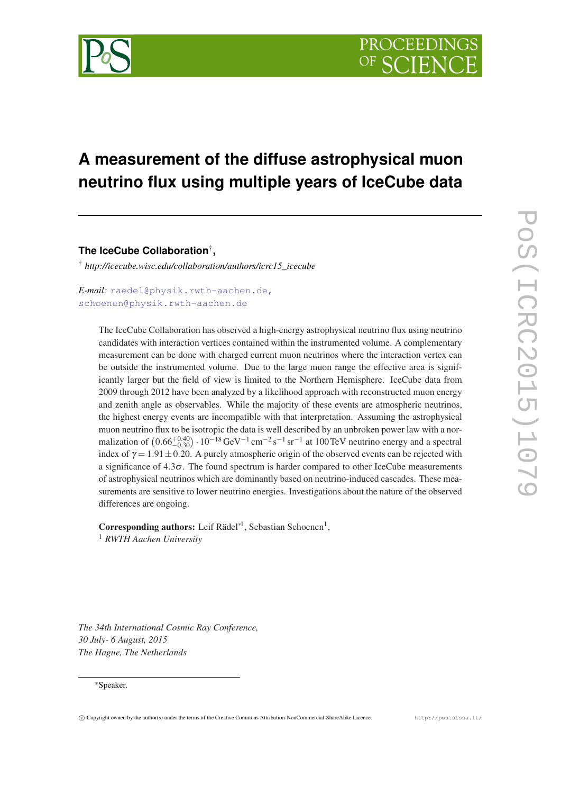

# **A measurement of the diffuse astrophysical muon neutrino flux using multiple years of IceCube data**

**The IceCube Collaboration**† **,**

† *http://icecube.wisc.edu/collaboration/authors/icrc15\_icecube*

*E-mail:* [raedel@physik.rwth-aachen.de,](mailto:raedel@physik.rwth-aachen.de, schoenen@physik.rwth-aachen.de) [schoenen@physik.rwth-aachen.de](mailto:raedel@physik.rwth-aachen.de, schoenen@physik.rwth-aachen.de)

> The IceCube Collaboration has observed a high-energy astrophysical neutrino flux using neutrino candidates with interaction vertices contained within the instrumented volume. A complementary measurement can be done with charged current muon neutrinos where the interaction vertex can be outside the instrumented volume. Due to the large muon range the effective area is significantly larger but the field of view is limited to the Northern Hemisphere. IceCube data from 2009 through 2012 have been analyzed by a likelihood approach with reconstructed muon energy and zenith angle as observables. While the majority of these events are atmospheric neutrinos, the highest energy events are incompatible with that interpretation. Assuming the astrophysical muon neutrino flux to be isotropic the data is well described by an unbroken power law with a normalization of  $(0.66^{+0.40}_{-0.30}) \cdot 10^{-18} \text{ GeV}^{-1} \text{ cm}^{-2} \text{s}^{-1} \text{ sr}^{-1}$  at 100 TeV neutrino energy and a spectral index of  $\gamma = 1.91 \pm 0.20$ . A purely atmospheric origin of the observed events can be rejected with a significance of  $4.3\sigma$ . The found spectrum is harder compared to other IceCube measurements of astrophysical neutrinos which are dominantly based on neutrino-induced cascades. These measurements are sensitive to lower neutrino energies. Investigations about the nature of the observed differences are ongoing.

Corresponding authors: Leif Rädel<sup>\*1</sup>, Sebastian Schoenen<sup>1</sup>, <sup>1</sup> *RWTH Aachen University*

*The 34th International Cosmic Ray Conference, 30 July- 6 August, 2015 The Hague, The Netherlands*

## <sup>∗</sup>Speaker.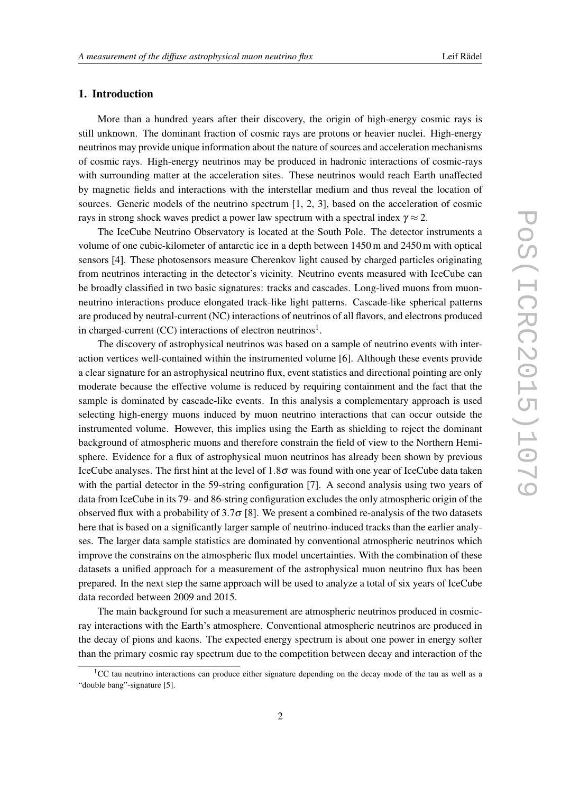# 1. Introduction

More than a hundred years after their discovery, the origin of high-energy cosmic rays is still unknown. The dominant fraction of cosmic rays are protons or heavier nuclei. High-energy neutrinos may provide unique information about the nature of sources and acceleration mechanisms of cosmic rays. High-energy neutrinos may be produced in hadronic interactions of cosmic-rays with surrounding matter at the acceleration sites. These neutrinos would reach Earth unaffected by magnetic fields and interactions with the interstellar medium and thus reveal the location of sources. Generic models of the neutrino spectrum [1, 2, 3], based on the acceleration of cosmic rays in strong shock waves predict a power law spectrum with a spectral index  $\gamma \approx 2$ .

The IceCube Neutrino Observatory is located at the South Pole. The detector instruments a volume of one cubic-kilometer of antarctic ice in a depth between 1450 m and 2450 m with optical sensors [4]. These photosensors measure Cherenkov light caused by charged particles originating from neutrinos interacting in the detector's vicinity. Neutrino events measured with IceCube can be broadly classified in two basic signatures: tracks and cascades. Long-lived muons from muonneutrino interactions produce elongated track-like light patterns. Cascade-like spherical patterns are produced by neutral-current (NC) interactions of neutrinos of all flavors, and electrons produced in charged-current (CC) interactions of electron neutrinos<sup>1</sup>.

The discovery of astrophysical neutrinos was based on a sample of neutrino events with interaction vertices well-contained within the instrumented volume [6]. Although these events provide a clear signature for an astrophysical neutrino flux, event statistics and directional pointing are only moderate because the effective volume is reduced by requiring containment and the fact that the sample is dominated by cascade-like events. In this analysis a complementary approach is used selecting high-energy muons induced by muon neutrino interactions that can occur outside the instrumented volume. However, this implies using the Earth as shielding to reject the dominant background of atmospheric muons and therefore constrain the field of view to the Northern Hemisphere. Evidence for a flux of astrophysical muon neutrinos has already been shown by previous IceCube analyses. The first hint at the level of  $1.8\sigma$  was found with one year of IceCube data taken with the partial detector in the 59-string configuration [7]. A second analysis using two years of data from IceCube in its 79- and 86-string configuration excludes the only atmospheric origin of the observed flux with a probability of  $3.7\sigma$  [8]. We present a combined re-analysis of the two datasets here that is based on a significantly larger sample of neutrino-induced tracks than the earlier analyses. The larger data sample statistics are dominated by conventional atmospheric neutrinos which improve the constrains on the atmospheric flux model uncertainties. With the combination of these datasets a unified approach for a measurement of the astrophysical muon neutrino flux has been prepared. In the next step the same approach will be used to analyze a total of six years of IceCube data recorded between 2009 and 2015.

The main background for such a measurement are atmospheric neutrinos produced in cosmicray interactions with the Earth's atmosphere. Conventional atmospheric neutrinos are produced in the decay of pions and kaons. The expected energy spectrum is about one power in energy softer than the primary cosmic ray spectrum due to the competition between decay and interaction of the

<sup>&</sup>lt;sup>1</sup>CC tau neutrino interactions can produce either signature depending on the decay mode of the tau as well as a "double bang"-signature [5].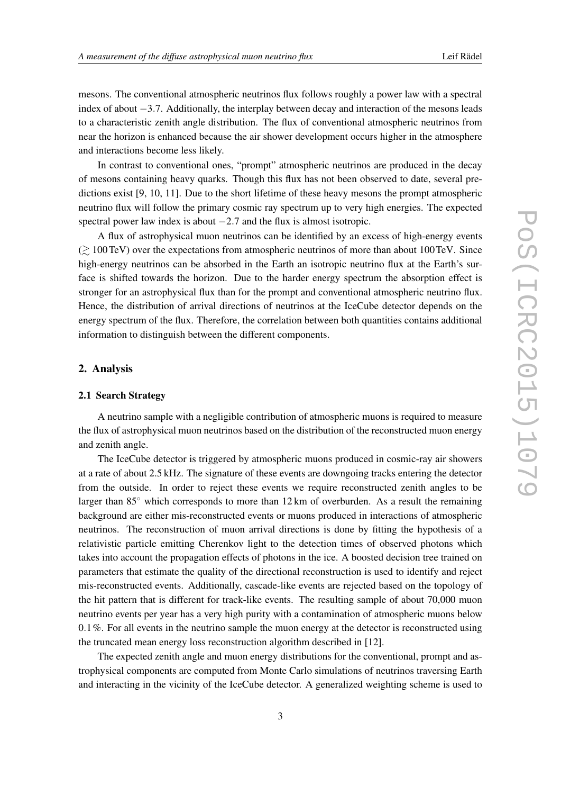mesons. The conventional atmospheric neutrinos flux follows roughly a power law with a spectral index of about −3.7. Additionally, the interplay between decay and interaction of the mesons leads to a characteristic zenith angle distribution. The flux of conventional atmospheric neutrinos from near the horizon is enhanced because the air shower development occurs higher in the atmosphere and interactions become less likely.

In contrast to conventional ones, "prompt" atmospheric neutrinos are produced in the decay of mesons containing heavy quarks. Though this flux has not been observed to date, several predictions exist [9, 10, 11]. Due to the short lifetime of these heavy mesons the prompt atmospheric neutrino flux will follow the primary cosmic ray spectrum up to very high energies. The expected spectral power law index is about  $-2.7$  and the flux is almost isotropic.

A flux of astrophysical muon neutrinos can be identified by an excess of high-energy events  $\approx$  100TeV) over the expectations from atmospheric neutrinos of more than about 100TeV. Since high-energy neutrinos can be absorbed in the Earth an isotropic neutrino flux at the Earth's surface is shifted towards the horizon. Due to the harder energy spectrum the absorption effect is stronger for an astrophysical flux than for the prompt and conventional atmospheric neutrino flux. Hence, the distribution of arrival directions of neutrinos at the IceCube detector depends on the energy spectrum of the flux. Therefore, the correlation between both quantities contains additional information to distinguish between the different components.

## 2. Analysis

#### 2.1 Search Strategy

A neutrino sample with a negligible contribution of atmospheric muons is required to measure the flux of astrophysical muon neutrinos based on the distribution of the reconstructed muon energy and zenith angle.

The IceCube detector is triggered by atmospheric muons produced in cosmic-ray air showers at a rate of about 2.5 kHz. The signature of these events are downgoing tracks entering the detector from the outside. In order to reject these events we require reconstructed zenith angles to be larger than  $85^\circ$  which corresponds to more than 12 km of overburden. As a result the remaining background are either mis-reconstructed events or muons produced in interactions of atmospheric neutrinos. The reconstruction of muon arrival directions is done by fitting the hypothesis of a relativistic particle emitting Cherenkov light to the detection times of observed photons which takes into account the propagation effects of photons in the ice. A boosted decision tree trained on parameters that estimate the quality of the directional reconstruction is used to identify and reject mis-reconstructed events. Additionally, cascade-like events are rejected based on the topology of the hit pattern that is different for track-like events. The resulting sample of about 70,000 muon neutrino events per year has a very high purity with a contamination of atmospheric muons below  $0.1\%$ . For all events in the neutrino sample the muon energy at the detector is reconstructed using the truncated mean energy loss reconstruction algorithm described in [12].

The expected zenith angle and muon energy distributions for the conventional, prompt and astrophysical components are computed from Monte Carlo simulations of neutrinos traversing Earth and interacting in the vicinity of the IceCube detector. A generalized weighting scheme is used to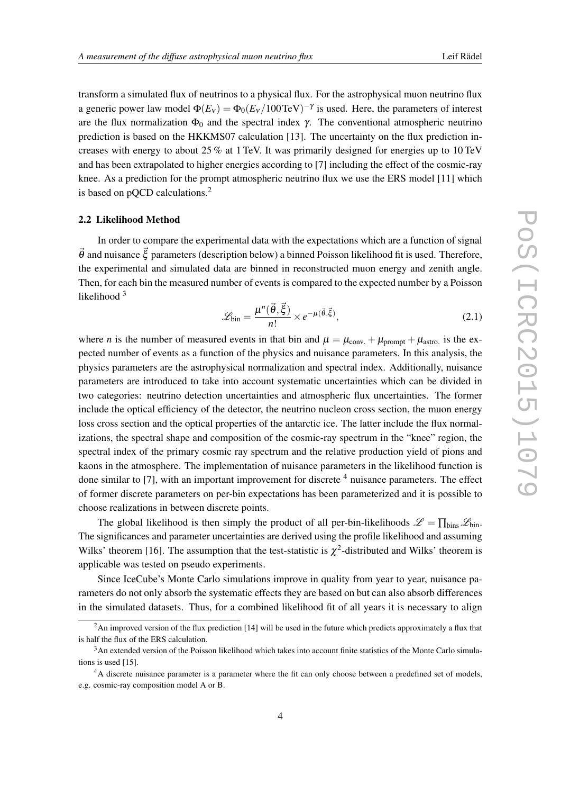transform a simulated flux of neutrinos to a physical flux. For the astrophysical muon neutrino flux a generic power law model  $\Phi(E_v) = \Phi_0 (E_v / 100 \text{ TeV})^{-\gamma}$  is used. Here, the parameters of interest are the flux normalization  $\Phi_0$  and the spectral index  $\gamma$ . The conventional atmospheric neutrino prediction is based on the HKKMS07 calculation [13]. The uncertainty on the flux prediction increases with energy to about 25 % at 1 TeV. It was primarily designed for energies up to 10 TeV and has been extrapolated to higher energies according to [7] including the effect of the cosmic-ray knee. As a prediction for the prompt atmospheric neutrino flux we use the ERS model [11] which is based on pOCD calculations.<sup>2</sup>

#### 2.2 Likelihood Method

In order to compare the experimental data with the expectations which are a function of signal  $\vec{\theta}$  and nuisance  $\vec{\xi}$  parameters (description below) a binned Poisson likelihood fit is used. Therefore, the experimental and simulated data are binned in reconstructed muon energy and zenith angle. Then, for each bin the measured number of events is compared to the expected number by a Poisson likelihood<sup>3</sup>

$$
\mathcal{L}_{\text{bin}} = \frac{\mu^n(\vec{\theta}, \vec{\xi})}{n!} \times e^{-\mu(\vec{\theta}, \vec{\xi})},\tag{2.1}
$$

where *n* is the number of measured events in that bin and  $\mu = \mu_{conv.} + \mu_{prompt} + \mu_{astro.}$  is the expected number of events as a function of the physics and nuisance parameters. In this analysis, the physics parameters are the astrophysical normalization and spectral index. Additionally, nuisance parameters are introduced to take into account systematic uncertainties which can be divided in two categories: neutrino detection uncertainties and atmospheric flux uncertainties. The former include the optical efficiency of the detector, the neutrino nucleon cross section, the muon energy loss cross section and the optical properties of the antarctic ice. The latter include the flux normalizations, the spectral shape and composition of the cosmic-ray spectrum in the "knee" region, the spectral index of the primary cosmic ray spectrum and the relative production yield of pions and kaons in the atmosphere. The implementation of nuisance parameters in the likelihood function is done similar to [7], with an important improvement for discrete  $4$  nuisance parameters. The effect of former discrete parameters on per-bin expectations has been parameterized and it is possible to choose realizations in between discrete points.

The global likelihood is then simply the product of all per-bin-likelihoods  $\mathscr{L} = \prod_{\text{bins}} \mathscr{L}_{\text{bin}}$ . The significances and parameter uncertainties are derived using the profile likelihood and assuming Wilks' theorem [16]. The assumption that the test-statistic is  $\chi^2$ -distributed and Wilks' theorem is applicable was tested on pseudo experiments.

Since IceCube's Monte Carlo simulations improve in quality from year to year, nuisance parameters do not only absorb the systematic effects they are based on but can also absorb differences in the simulated datasets. Thus, for a combined likelihood fit of all years it is necessary to align

 $2$ An improved version of the flux prediction [14] will be used in the future which predicts approximately a flux that is half the flux of the ERS calculation.

<sup>3</sup>An extended version of the Poisson likelihood which takes into account finite statistics of the Monte Carlo simulations is used [15].

<sup>&</sup>lt;sup>4</sup>A discrete nuisance parameter is a parameter where the fit can only choose between a predefined set of models, e.g. cosmic-ray composition model A or B.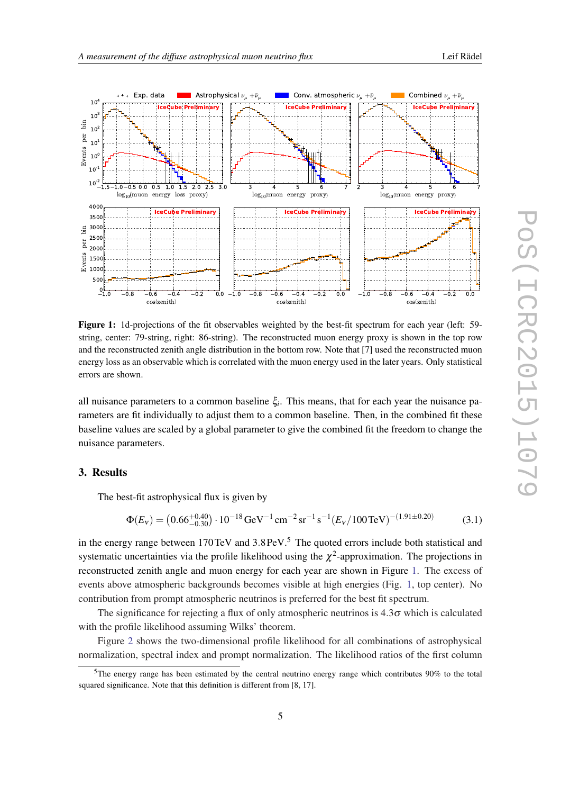



Figure 1: 1d-projections of the fit observables weighted by the best-fit spectrum for each year (left: 59 string, center: 79-string, right: 86-string). The reconstructed muon energy proxy is shown in the top row and the reconstructed zenith angle distribution in the bottom row. Note that [7] used the reconstructed muon energy loss as an observable which is correlated with the muon energy used in the later years. Only statistical errors are shown.

all nuisance parameters to a common baseline  $\xi$ . This means, that for each year the nuisance parameters are fit individually to adjust them to a common baseline. Then, in the combined fit these baseline values are scaled by a global parameter to give the combined fit the freedom to change the nuisance parameters.

# 3. Results

The best-fit astrophysical flux is given by

$$
\Phi(E_V) = (0.66^{+0.40}_{-0.30}) \cdot 10^{-18} \,\text{GeV}^{-1} \,\text{cm}^{-2} \,\text{sr}^{-1} \,\text{s}^{-1} (E_V / 100 \,\text{TeV})^{-(1.91 \pm 0.20)} \tag{3.1}
$$

in the energy range between 170TeV and 3.8PeV.<sup>5</sup> The quoted errors include both statistical and systematic uncertainties via the profile likelihood using the  $\chi^2$ -approximation. The projections in reconstructed zenith angle and muon energy for each year are shown in Figure 1. The excess of events above atmospheric backgrounds becomes visible at high energies (Fig. 1, top center). No contribution from prompt atmospheric neutrinos is preferred for the best fit spectrum.

The significance for rejecting a flux of only atmospheric neutrinos is  $4.3\sigma$  which is calculated with the profile likelihood assuming Wilks' theorem.

Figure [2](#page-5-0) shows the two-dimensional profile likelihood for all combinations of astrophysical normalization, spectral index and prompt normalization. The likelihood ratios of the first column

<sup>5</sup>The energy range has been estimated by the central neutrino energy range which contributes 90% to the total squared significance. Note that this definition is different from [8, 17].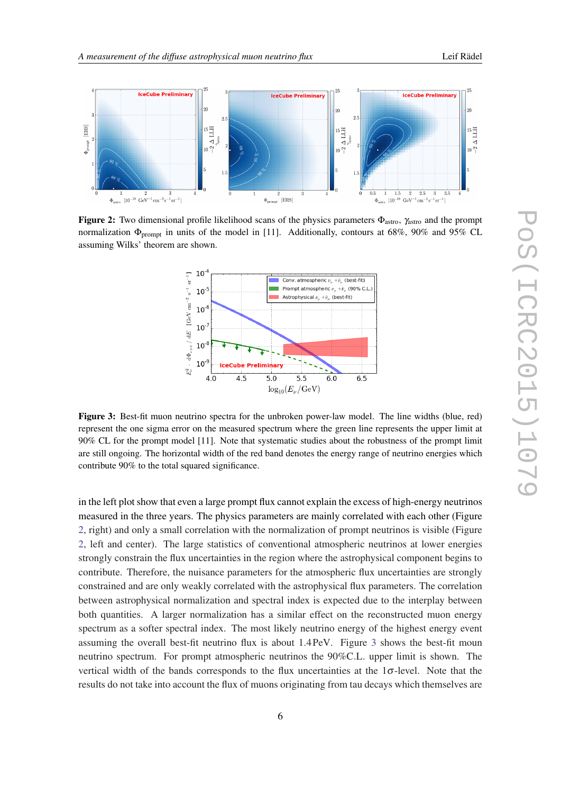

<span id="page-5-0"></span>

Figure 2: Two dimensional profile likelihood scans of the physics parameters  $\Phi_{astro}$ ,  $\gamma_{astro}$  and the prompt normalization  $\Phi_{\text{prompt}}$  in units of the model in [11]. Additionally, contours at 68%, 90% and 95% CL assuming Wilks' theorem are shown.



Figure 3: Best-fit muon neutrino spectra for the unbroken power-law model. The line widths (blue, red) represent the one sigma error on the measured spectrum where the green line represents the upper limit at 90% CL for the prompt model [11]. Note that systematic studies about the robustness of the prompt limit are still ongoing. The horizontal width of the red band denotes the energy range of neutrino energies which contribute 90% to the total squared significance.

in the left plot show that even a large prompt flux cannot explain the excess of high-energy neutrinos measured in the three years. The physics parameters are mainly correlated with each other (Figure 2, right) and only a small correlation with the normalization of prompt neutrinos is visible (Figure 2, left and center). The large statistics of conventional atmospheric neutrinos at lower energies strongly constrain the flux uncertainties in the region where the astrophysical component begins to contribute. Therefore, the nuisance parameters for the atmospheric flux uncertainties are strongly constrained and are only weakly correlated with the astrophysical flux parameters. The correlation between astrophysical normalization and spectral index is expected due to the interplay between both quantities. A larger normalization has a similar effect on the reconstructed muon energy spectrum as a softer spectral index. The most likely neutrino energy of the highest energy event assuming the overall best-fit neutrino flux is about 1.4PeV. Figure 3 shows the best-fit moun neutrino spectrum. For prompt atmospheric neutrinos the 90%C.L. upper limit is shown. The vertical width of the bands corresponds to the flux uncertainties at the  $1\sigma$ -level. Note that the results do not take into account the flux of muons originating from tau decays which themselves are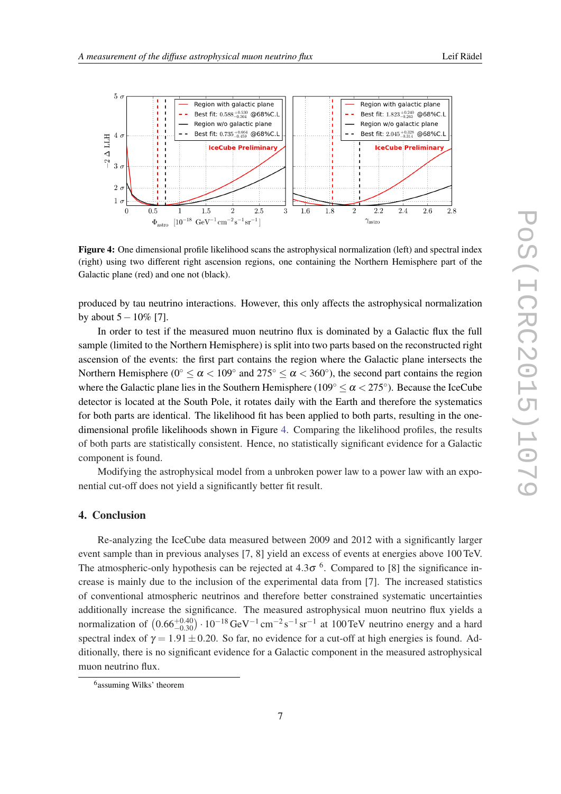

Figure 4: One dimensional profile likelihood scans the astrophysical normalization (left) and spectral index (right) using two different right ascension regions, one containing the Northern Hemisphere part of the Galactic plane (red) and one not (black).

produced by tau neutrino interactions. However, this only affects the astrophysical normalization by about  $5-10\%$  [7].

In order to test if the measured muon neutrino flux is dominated by a Galactic flux the full sample (limited to the Northern Hemisphere) is split into two parts based on the reconstructed right ascension of the events: the first part contains the region where the Galactic plane intersects the Northern Hemisphere (0°  $\le \alpha < 109$ ° and  $275$ °  $\le \alpha < 360$ °), the second part contains the region where the Galactic plane lies in the Southern Hemisphere ( $109^{\circ} \le \alpha < 275^{\circ}$ ). Because the IceCube detector is located at the South Pole, it rotates daily with the Earth and therefore the systematics for both parts are identical. The likelihood fit has been applied to both parts, resulting in the onedimensional profile likelihoods shown in Figure 4. Comparing the likelihood profiles, the results of both parts are statistically consistent. Hence, no statistically significant evidence for a Galactic component is found.

Modifying the astrophysical model from a unbroken power law to a power law with an exponential cut-off does not yield a significantly better fit result.

# 4. Conclusion

Re-analyzing the IceCube data measured between 2009 and 2012 with a significantly larger event sample than in previous analyses [7, 8] yield an excess of events at energies above 100 TeV. The atmospheric-only hypothesis can be rejected at  $4.3\sigma$ <sup>6</sup>. Compared to [8] the significance increase is mainly due to the inclusion of the experimental data from [7]. The increased statistics of conventional atmospheric neutrinos and therefore better constrained systematic uncertainties additionally increase the significance. The measured astrophysical muon neutrino flux yields a normalization of  $(0.66^{+0.40}_{-0.30}) \cdot 10^{-18} \text{ GeV}^{-1} \text{ cm}^{-2} \text{ s}^{-1} \text{ sr}^{-1}$  at 100TeV neutrino energy and a hard spectral index of  $\gamma = 1.91 \pm 0.20$ . So far, no evidence for a cut-off at high energies is found. Additionally, there is no significant evidence for a Galactic component in the measured astrophysical muon neutrino flux.

<sup>6</sup> assuming Wilks' theorem